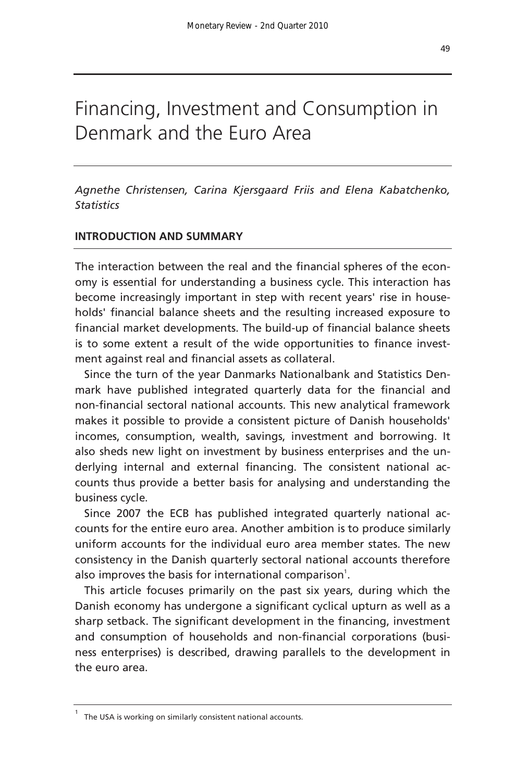# Financing, Investment and Consumption in Denmark and the Euro Area

*Agnethe Christensen, Carina Kjersgaard Friis and Elena Kabatchenko, Statistics* 

## **INTRODUCTION AND SUMMARY**

The interaction between the real and the financial spheres of the economy is essential for understanding a business cycle. This interaction has become increasingly important in step with recent years' rise in households' financial balance sheets and the resulting increased exposure to financial market developments. The build-up of financial balance sheets is to some extent a result of the wide opportunities to finance investment against real and financial assets as collateral.

Since the turn of the year Danmarks Nationalbank and Statistics Denmark have published integrated quarterly data for the financial and non-financial sectoral national accounts. This new analytical framework makes it possible to provide a consistent picture of Danish households' incomes, consumption, wealth, savings, investment and borrowing. It also sheds new light on investment by business enterprises and the underlying internal and external financing. The consistent national accounts thus provide a better basis for analysing and understanding the business cycle.

Since 2007 the ECB has published integrated quarterly national accounts for the entire euro area. Another ambition is to produce similarly uniform accounts for the individual euro area member states. The new consistency in the Danish quarterly sectoral national accounts therefore also improves the basis for international comparison<sup>1</sup>.

This article focuses primarily on the past six years, during which the Danish economy has undergone a significant cyclical upturn as well as a sharp setback. The significant development in the financing, investment and consumption of households and non-financial corporations (business enterprises) is described, drawing parallels to the development in the euro area.

<sup>1</sup> The USA is working on similarly consistent national accounts.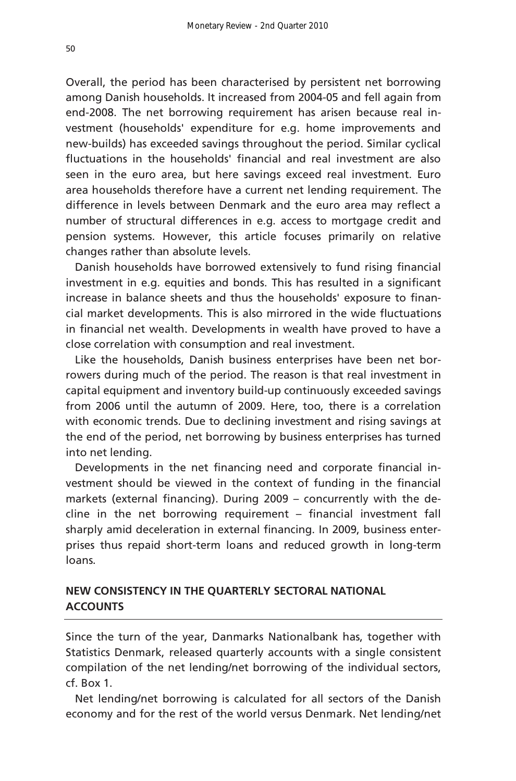Overall, the period has been characterised by persistent net borrowing among Danish households. It increased from 2004-05 and fell again from end-2008. The net borrowing requirement has arisen because real investment (households' expenditure for e.g. home improvements and new-builds) has exceeded savings throughout the period. Similar cyclical fluctuations in the households' financial and real investment are also seen in the euro area, but here savings exceed real investment. Euro area households therefore have a current net lending requirement. The difference in levels between Denmark and the euro area may reflect a number of structural differences in e.g. access to mortgage credit and pension systems. However, this article focuses primarily on relative changes rather than absolute levels.

Danish households have borrowed extensively to fund rising financial investment in e.g. equities and bonds. This has resulted in a significant increase in balance sheets and thus the households' exposure to financial market developments. This is also mirrored in the wide fluctuations in financial net wealth. Developments in wealth have proved to have a close correlation with consumption and real investment.

Like the households, Danish business enterprises have been net borrowers during much of the period. The reason is that real investment in capital equipment and inventory build-up continuously exceeded savings from 2006 until the autumn of 2009. Here, too, there is a correlation with economic trends. Due to declining investment and rising savings at the end of the period, net borrowing by business enterprises has turned into net lending.

Developments in the net financing need and corporate financial investment should be viewed in the context of funding in the financial markets (external financing). During 2009 – concurrently with the decline in the net borrowing requirement – financial investment fall sharply amid deceleration in external financing. In 2009, business enterprises thus repaid short-term loans and reduced growth in long-term loans.

## **NEW CONSISTENCY IN THE QUARTERLY SECTORAL NATIONAL ACCOUNTS**

Since the turn of the year, Danmarks Nationalbank has, together with Statistics Denmark, released quarterly accounts with a single consistent compilation of the net lending/net borrowing of the individual sectors, cf. Box 1.

Net lending/net borrowing is calculated for all sectors of the Danish economy and for the rest of the world versus Denmark. Net lending/net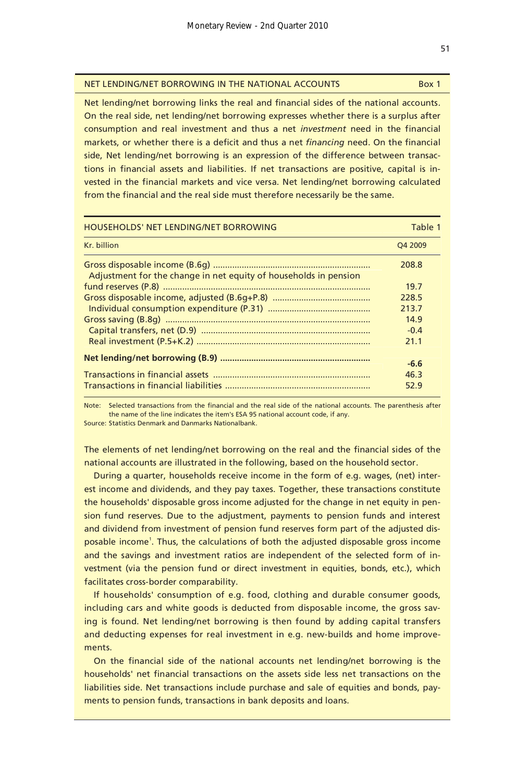#### NET LENDING/NET BORROWING IN THE NATIONAL ACCOUNTS Box 1

Net lending/net borrowing links the real and financial sides of the national accounts. On the real side, net lending/net borrowing expresses whether there is a surplus after consumption and real investment and thus a net *investment* need in the financial markets, or whether there is a deficit and thus a net *financing* need. On the financial side, Net lending/net borrowing is an expression of the difference between transactions in financial assets and liabilities. If net transactions are positive, capital is invested in the financial markets and vice versa. Net lending/net borrowing calculated from the financial and the real side must therefore necessarily be the same.

| <b>HOUSEHOLDS' NET LENDING/NET BORROWING</b>                     | Table 1             |
|------------------------------------------------------------------|---------------------|
| Kr. billion                                                      | O <sub>4</sub> 2009 |
|                                                                  | 208.8               |
| Adjustment for the change in net equity of households in pension |                     |
|                                                                  | 19.7                |
|                                                                  | 228.5               |
|                                                                  | 213.7               |
|                                                                  | 14.9                |
|                                                                  | $-0.4$              |
|                                                                  | 21.1                |
|                                                                  |                     |
|                                                                  | $-6.6$              |
|                                                                  | 46.3                |
|                                                                  | 52.9                |

Note: Selected transactions from the financial and the real side of the national accounts. The parenthesis after the name of the line indicates the item's ESA 95 national account code, if any.

Source: Statistics Denmark and Danmarks Nationalbank.

The elements of net lending/net borrowing on the real and the financial sides of the national accounts are illustrated in the following, based on the household sector.

During a quarter, households receive income in the form of e.g. wages, (net) interest income and dividends, and they pay taxes. Together, these transactions constitute the households' disposable gross income adjusted for the change in net equity in pension fund reserves. Due to the adjustment, payments to pension funds and interest and dividend from investment of pension fund reserves form part of the adjusted disposable income<sup>1</sup>. Thus, the calculations of both the adjusted disposable gross income and the savings and investment ratios are independent of the selected form of investment (via the pension fund or direct investment in equities, bonds, etc.), which facilitates cross-border comparability.

If households' consumption of e.g. food, clothing and durable consumer goods, including cars and white goods is deducted from disposable income, the gross saving is found. Net lending/net borrowing is then found by adding capital transfers and deducting expenses for real investment in e.g. new-builds and home improvements.

On the financial side of the national accounts net lending/net borrowing is the households' net financial transactions on the assets side less net transactions on the liabilities side. Net transactions include purchase and sale of equities and bonds, payments to pension funds, transactions in bank deposits and loans.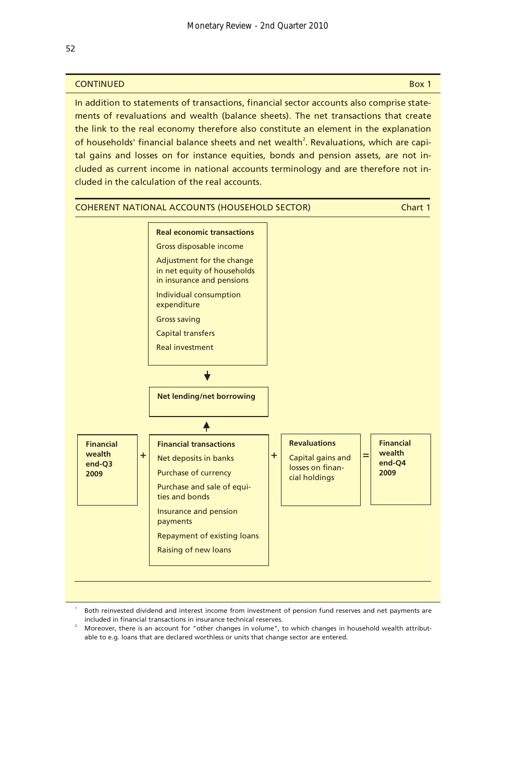## **CONTINUED** Box 1

In addition to statements of transactions, financial sector accounts also comprise statements of revaluations and wealth (balance sheets). The net transactions that create the link to the real economy therefore also constitute an element in the explanation of households' financial balance sheets and net wealth<sup>2</sup>. Revaluations, which are capital gains and losses on for instance equities, bonds and pension assets, are not included as current income in national accounts terminology and are therefore not included in the calculation of the real accounts.



Both reinvested dividend and interest income from investment of pension fund reserves and net payments are included in financial transactions in insurance technical reserves.<br><sup>2</sup> Moreover, there is an account for "other changes in volume", to which changes in household wealth attribut-

able to e.g. loans that are declared worthless or units that change sector are entered.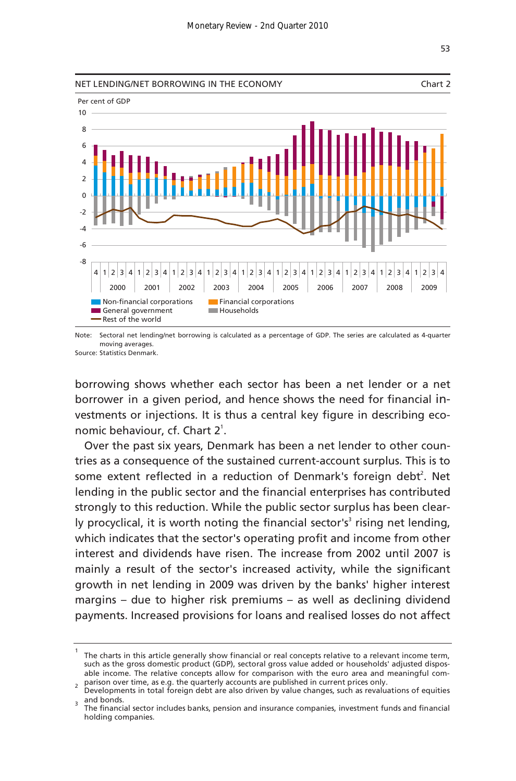

Note: Sectoral net lending/net borrowing is calculated as a percentage of GDP. The series are calculated as 4-quarter Source: Statistics Denmark. moving averages.

borrowing shows whether each sector has been a net lender or a net borrower in a given period, and hence shows the need for financial investments or injections. It is thus a central key figure in describing economic behaviour, cf. Chart 2<sup>1</sup>.

Over the past six years, Denmark has been a net lender to other countries as a consequence of the sustained current-account surplus. This is to some extent reflected in a reduction of Denmark's foreign debt<sup>2</sup>. Net lending in the public sector and the financial enterprises has contributed strongly to this reduction. While the public sector surplus has been clearly procyclical, it is worth noting the financial sector's<sup>3</sup> rising net lending, which indicates that the sector's operating profit and income from other interest and dividends have risen. The increase from 2002 until 2007 is mainly a result of the sector's increased activity, while the significant growth in net lending in 2009 was driven by the banks' higher interest margins – due to higher risk premiums – as well as declining dividend payments. Increased provisions for loans and realised losses do not affect

 $1$  The charts in this article generally show financial or real concepts relative to a relevant income term, such as the gross domestic product (GDP), sectoral gross value added or households' adjusted disposable income. The relative concepts allow for comparison with the euro area and meaningful com- $_2$  parison over time, as e.g. the quarterly accounts are published in current prices only.

Developments in total foreign debt are also driven by value changes, such as revaluations of equities  $\frac{1}{3}$  and bonds.

The financial sector includes banks, pension and insurance companies, investment funds and financial holding companies.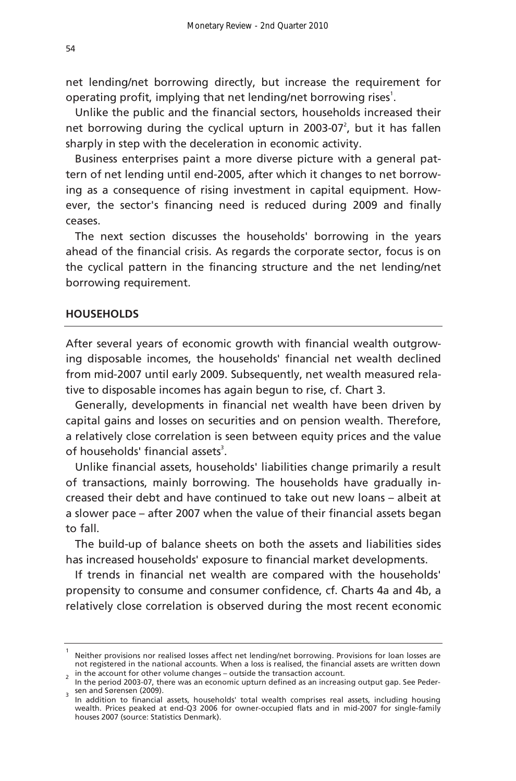net lending/net borrowing directly, but increase the requirement for operating profit, implying that net lending/net borrowing rises<sup>1</sup>.

Unlike the public and the financial sectors, households increased their net borrowing during the cyclical upturn in 2003-07 $^2$ , but it has fallen sharply in step with the deceleration in economic activity.

Business enterprises paint a more diverse picture with a general pattern of net lending until end-2005, after which it changes to net borrowing as a consequence of rising investment in capital equipment. However, the sector's financing need is reduced during 2009 and finally ceases.

The next section discusses the households' borrowing in the years ahead of the financial crisis. As regards the corporate sector, focus is on the cyclical pattern in the financing structure and the net lending/net borrowing requirement.

#### **HOUSEHOLDS**

After several years of economic growth with financial wealth outgrowing disposable incomes, the households' financial net wealth declined from mid-2007 until early 2009. Subsequently, net wealth measured relative to disposable incomes has again begun to rise, cf. Chart 3.

Generally, developments in financial net wealth have been driven by capital gains and losses on securities and on pension wealth. Therefore, a relatively close correlation is seen between equity prices and the value of households' financial assets<sup>3</sup>.

Unlike financial assets, households' liabilities change primarily a result of transactions, mainly borrowing. The households have gradually increased their debt and have continued to take out new loans – albeit at a slower pace – after 2007 when the value of their financial assets began to fall.

The build-up of balance sheets on both the assets and liabilities sides has increased households' exposure to financial market developments.

If trends in financial net wealth are compared with the households' propensity to consume and consumer confidence, cf. Charts 4a and 4b, a relatively close correlation is observed during the most recent economic

<sup>1</sup> Neither provisions nor realised losses affect net lending/net borrowing. Provisions for loan losses are not registered in the national accounts. When a loss is realised, the financial assets are written down in the account for other volume changes – outside the transaction account.

In the period 2003-07, there was an economic upturn defined as an increasing output gap. See Peder- $\frac{3}{3}$  sen and Sørensen (2009).

In addition to financial assets, households' total wealth comprises real assets, including housing wealth. Prices peaked at end-Q3 2006 for owner-occupied flats and in mid-2007 for single-family houses 2007 (source: Statistics Denmark).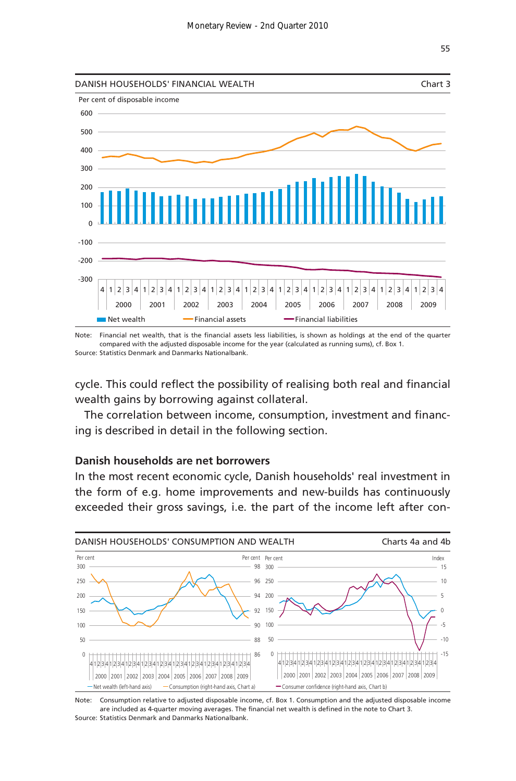

Note: Financial net wealth, that is the financial assets less liabilities, is shown as holdings at the end of the quarter Source: Statistics Denmark and Danmarks Nationalbank. compared with the adjusted disposable income for the year (calculated as running sums), cf. Box 1.

cycle. This could reflect the possibility of realising both real and financial wealth gains by borrowing against collateral.

The correlation between income, consumption, investment and financing is described in detail in the following section.

#### **Danish households are net borrowers**

In the most recent economic cycle, Danish households' real investment in the form of e.g. home improvements and new-builds has continuously exceeded their gross savings, i.e. the part of the income left after con-



Note: Source: Statistics Denmark and Danmarks Nationalbank. Consumption relative to adjusted disposable income, cf. Box 1. Consumption and the adjusted disposable income are included as 4-quarter moving averages. The financial net wealth is defined in the note to Chart 3.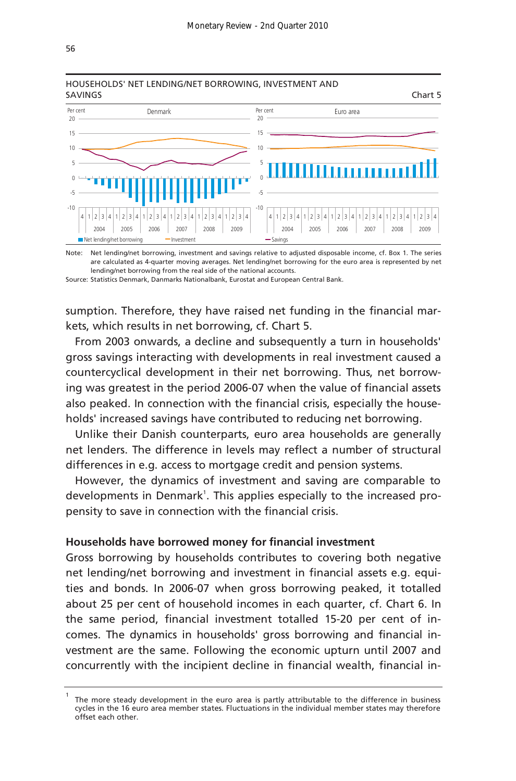

## HOUSEHOLDS' NET LENDING/NET BORROWING, INVESTMENT AND

Note: Net lending/net borrowing, investment and savings relative to adjusted disposable income, cf. Box 1. The series are calculated as 4-quarter moving averages. Net lending/net borrowing for the euro area is represented by net lending/net borrowing from the real side of the national accounts.

Source: Statistics Denmark, Danmarks Nationalbank, Eurostat and European Central Bank.

sumption. Therefore, they have raised net funding in the financial markets, which results in net borrowing, cf. Chart 5.

From 2003 onwards, a decline and subsequently a turn in households' gross savings interacting with developments in real investment caused a countercyclical development in their net borrowing. Thus, net borrowing was greatest in the period 2006-07 when the value of financial assets also peaked. In connection with the financial crisis, especially the households' increased savings have contributed to reducing net borrowing.

Unlike their Danish counterparts, euro area households are generally net lenders. The difference in levels may reflect a number of structural differences in e.g. access to mortgage credit and pension systems.

However, the dynamics of investment and saving are comparable to developments in Denmark<sup>1</sup>. This applies especially to the increased propensity to save in connection with the financial crisis.

#### **Households have borrowed money for financial investment**

Gross borrowing by households contributes to covering both negative net lending/net borrowing and investment in financial assets e.g. equities and bonds. In 2006-07 when gross borrowing peaked, it totalled about 25 per cent of household incomes in each quarter, cf. Chart 6. In the same period, financial investment totalled 15-20 per cent of incomes. The dynamics in households' gross borrowing and financial investment are the same. Following the economic upturn until 2007 and concurrently with the incipient decline in financial wealth, financial in-

<sup>1</sup> The more steady development in the euro area is partly attributable to the difference in business cycles in the 16 euro area member states. Fluctuations in the individual member states may therefore offset each other.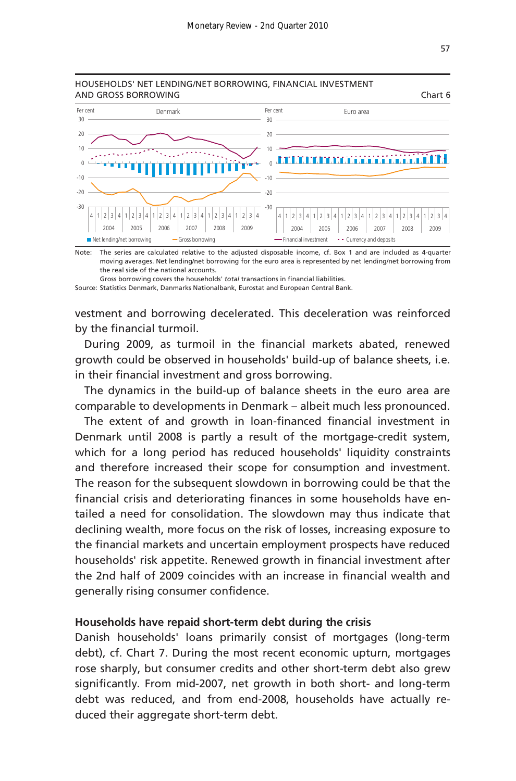

Note: The series are calculated relative to the adjusted disposable income, cf. Box 1 and are included as 4-quarter moving averages. Net lending/net borrowing for the euro area is represented by net lending/net borrowing from the real side of the national accounts.

Source: Statistics Denmark, Danmarks Nationalbank, Eurostat and European Central Bank. Gross borrowing covers the households' *total* transactions in financial liabilities.

vestment and borrowing decelerated. This deceleration was reinforced by the financial turmoil.

During 2009, as turmoil in the financial markets abated, renewed growth could be observed in households' build-up of balance sheets, i.e. in their financial investment and gross borrowing.

The dynamics in the build-up of balance sheets in the euro area are comparable to developments in Denmark – albeit much less pronounced.

The extent of and growth in loan-financed financial investment in Denmark until 2008 is partly a result of the mortgage-credit system, which for a long period has reduced households' liquidity constraints and therefore increased their scope for consumption and investment. The reason for the subsequent slowdown in borrowing could be that the financial crisis and deteriorating finances in some households have entailed a need for consolidation. The slowdown may thus indicate that declining wealth, more focus on the risk of losses, increasing exposure to the financial markets and uncertain employment prospects have reduced households' risk appetite. Renewed growth in financial investment after the 2nd half of 2009 coincides with an increase in financial wealth and generally rising consumer confidence.

#### **Households have repaid short-term debt during the crisis**

Danish households' loans primarily consist of mortgages (long-term debt), cf. Chart 7. During the most recent economic upturn, mortgages rose sharply, but consumer credits and other short-term debt also grew significantly. From mid-2007, net growth in both short- and long-term debt was reduced, and from end-2008, households have actually reduced their aggregate short-term debt.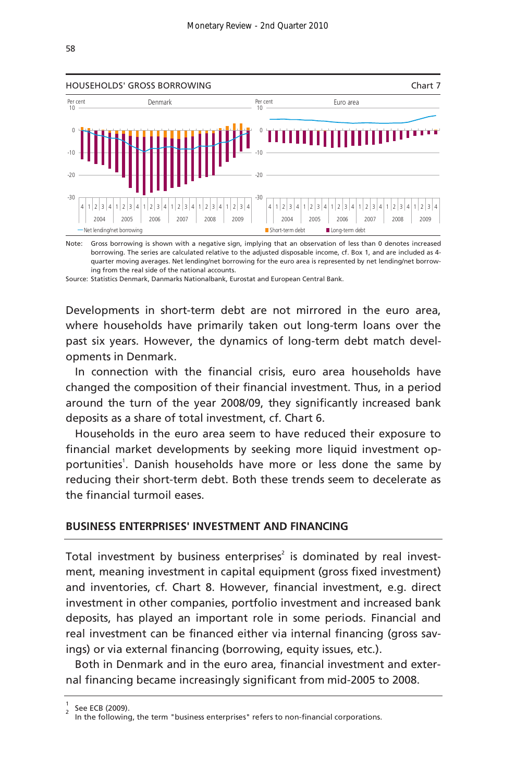

Note: Gross borrowing is shown with a negative sign, implying that an observation of less than 0 denotes increased borrowing. The series are calculated relative to the adjusted disposable income, cf. Box 1, and are included as 4 quarter moving averages. Net lending/net borrowing for the euro area is represented by net lending/net borrowing from the real side of the national accounts.

Source: Statistics Denmark, Danmarks Nationalbank, Eurostat and European Central Bank.

Developments in short-term debt are not mirrored in the euro area, where households have primarily taken out long-term loans over the past six years. However, the dynamics of long-term debt match developments in Denmark.

In connection with the financial crisis, euro area households have changed the composition of their financial investment. Thus, in a period around the turn of the year 2008/09, they significantly increased bank deposits as a share of total investment, cf. Chart 6.

Households in the euro area seem to have reduced their exposure to financial market developments by seeking more liquid investment opportunities<sup>1</sup>. Danish households have more or less done the same by reducing their short-term debt. Both these trends seem to decelerate as the financial turmoil eases.

#### **BUSINESS ENTERPRISES' INVESTMENT AND FINANCING**

Total investment by business enterprises<sup>2</sup> is dominated by real investment, meaning investment in capital equipment (gross fixed investment) and inventories, cf. Chart 8. However, financial investment, e.g. direct investment in other companies, portfolio investment and increased bank deposits, has played an important role in some periods. Financial and real investment can be financed either via internal financing (gross savings) or via external financing (borrowing, equity issues, etc.).

Both in Denmark and in the euro area, financial investment and external financing became increasingly significant from mid-2005 to 2008.

<sup>1</sup>  $\frac{1}{2}$  See ECB (2009).

In the following, the term "business enterprises" refers to non-financial corporations.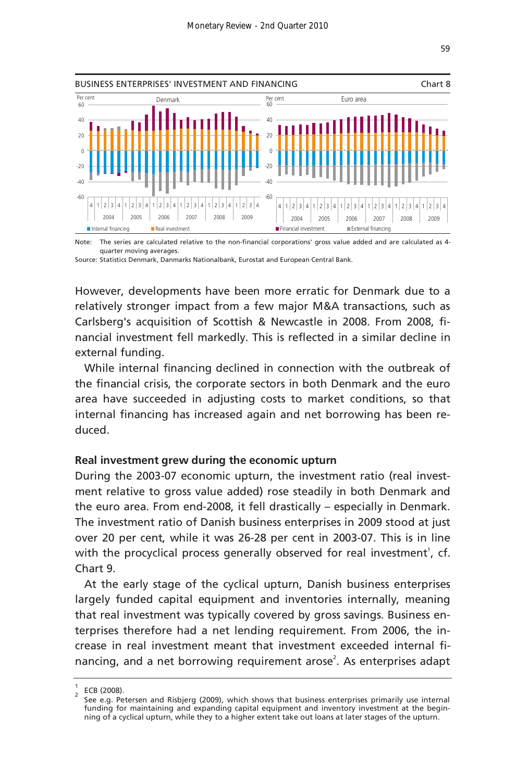

Note: The series are calculated relative to the non-financial corporations' gross value added and are calculated as 4 quarter moving averages.

Source: Statistics Denmark, Danmarks Nationalbank, Eurostat and European Central Bank.

However, developments have been more erratic for Denmark due to a relatively stronger impact from a few major M&A transactions, such as Carlsberg's acquisition of Scottish & Newcastle in 2008. From 2008, financial investment fell markedly. This is reflected in a similar decline in external funding.

While internal financing declined in connection with the outbreak of the financial crisis, the corporate sectors in both Denmark and the euro area have succeeded in adjusting costs to market conditions, so that internal financing has increased again and net borrowing has been reduced.

#### **Real investment grew during the economic upturn**

During the 2003-07 economic upturn, the investment ratio (real investment relative to gross value added) rose steadily in both Denmark and the euro area. From end-2008, it fell drastically – especially in Denmark. The investment ratio of Danish business enterprises in 2009 stood at just over 20 per cent, while it was 26-28 per cent in 2003-07. This is in line with the procyclical process generally observed for real investment<sup>1</sup>, cf. Chart 9.

At the early stage of the cyclical upturn, Danish business enterprises largely funded capital equipment and inventories internally, meaning that real investment was typically covered by gross savings. Business enterprises therefore had a net lending requirement. From 2006, the increase in real investment meant that investment exceeded internal financing, and a net borrowing requirement arose<sup>2</sup>. As enterprises adapt

<sup>1</sup>  $\frac{1}{2}$  ECB (2008).

See e.g. Petersen and Risbjerg (2009), which shows that business enterprises primarily use internal funding for maintaining and expanding capital equipment and inventory investment at the beginning of a cyclical upturn, while they to a higher extent take out loans at later stages of the upturn.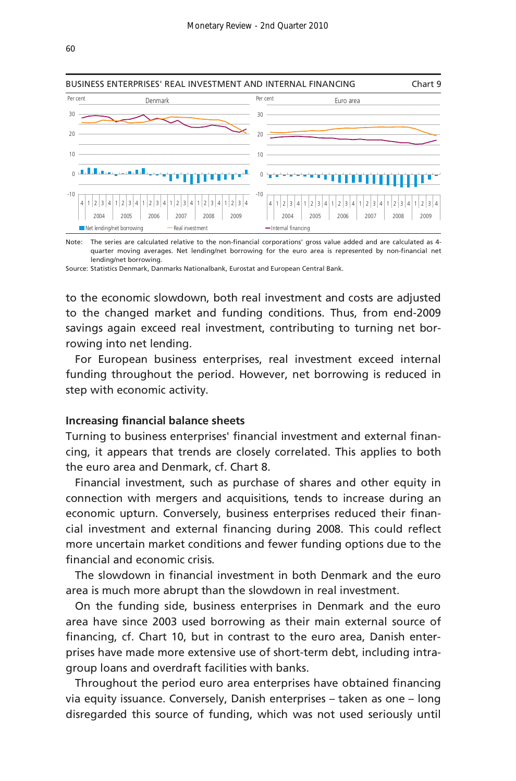

Note: The series are calculated relative to the non-financial corporations' gross value added and are calculated as 4 quarter moving averages. Net lending/net borrowing for the euro area is represented by non-financial net lending/net borrowing.

Source: Statistics Denmark, Danmarks Nationalbank, Eurostat and European Central Bank.

to the economic slowdown, both real investment and costs are adjusted to the changed market and funding conditions. Thus, from end-2009 savings again exceed real investment, contributing to turning net borrowing into net lending.

For European business enterprises, real investment exceed internal funding throughout the period. However, net borrowing is reduced in step with economic activity.

#### **Increasing financial balance sheets**

Turning to business enterprises' financial investment and external financing, it appears that trends are closely correlated. This applies to both the euro area and Denmark, cf. Chart 8.

Financial investment, such as purchase of shares and other equity in connection with mergers and acquisitions, tends to increase during an economic upturn. Conversely, business enterprises reduced their financial investment and external financing during 2008. This could reflect more uncertain market conditions and fewer funding options due to the financial and economic crisis.

The slowdown in financial investment in both Denmark and the euro area is much more abrupt than the slowdown in real investment.

On the funding side, business enterprises in Denmark and the euro area have since 2003 used borrowing as their main external source of financing, cf. Chart 10, but in contrast to the euro area, Danish enterprises have made more extensive use of short-term debt, including intragroup loans and overdraft facilities with banks.

Throughout the period euro area enterprises have obtained financing via equity issuance. Conversely, Danish enterprises – taken as one – long disregarded this source of funding, which was not used seriously until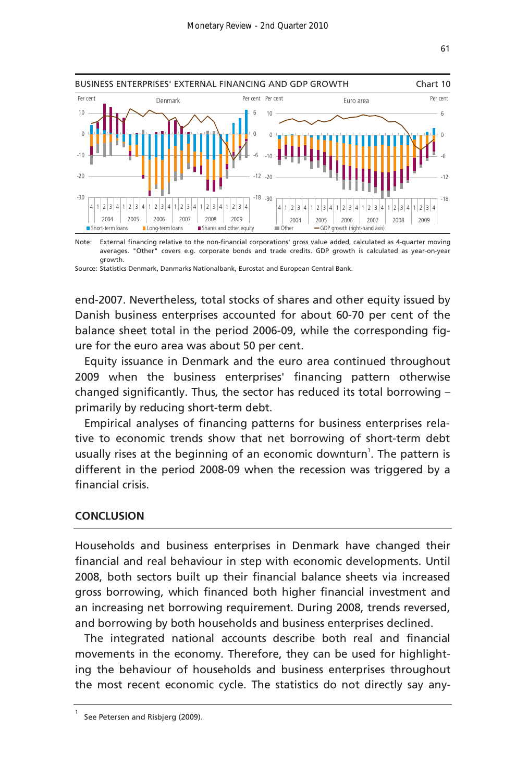

Note: External financing relative to the non-financial corporations' gross value added, calculated as 4-quarter moving averages. "Other" covers e.g. corporate bonds and trade credits. GDP growth is calculated as year-on-year growth.

Source: Statistics Denmark, Danmarks Nationalbank, Eurostat and European Central Bank.

end-2007. Nevertheless, total stocks of shares and other equity issued by Danish business enterprises accounted for about 60-70 per cent of the balance sheet total in the period 2006-09, while the corresponding figure for the euro area was about 50 per cent.

Equity issuance in Denmark and the euro area continued throughout 2009 when the business enterprises' financing pattern otherwise changed significantly. Thus, the sector has reduced its total borrowing – primarily by reducing short-term debt.

Empirical analyses of financing patterns for business enterprises relative to economic trends show that net borrowing of short-term debt usually rises at the beginning of an economic downturn<sup>1</sup>. The pattern is different in the period 2008-09 when the recession was triggered by a financial crisis.

### **CONCLUSION**

Households and business enterprises in Denmark have changed their financial and real behaviour in step with economic developments. Until 2008, both sectors built up their financial balance sheets via increased gross borrowing, which financed both higher financial investment and an increasing net borrowing requirement. During 2008, trends reversed, and borrowing by both households and business enterprises declined.

The integrated national accounts describe both real and financial movements in the economy. Therefore, they can be used for highlighting the behaviour of households and business enterprises throughout the most recent economic cycle. The statistics do not directly say any-

<sup>1</sup> See Petersen and Risbjerg (2009).